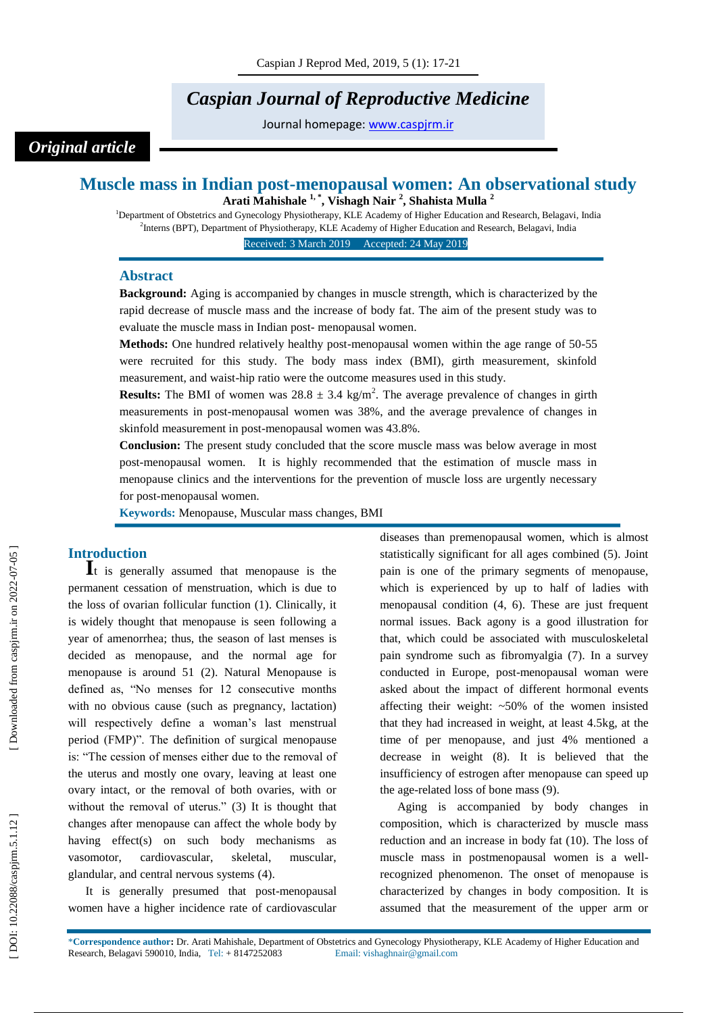# *Caspian Journal of Reproductive Medicine*

Journal homepage: [www.caspjrm.ir](http://www.caspjrm.ir/)

## *Original article*

### **Muscle mass in Indian post -menopausal women: An observational study Arati Mahishale 1, \* , Vishagh Nair 2 , Shahista Mulla 2**

<sup>1</sup>Department of Obstetrics and Gynecology Physiotherapy, KLE Academy of Higher Education and Research, Belagavi, India 2 Interns (BPT), Department of Physiotherapy, KLE Academy of Higher Education and Research, Belagavi, India

Received: 3 March 201 9 Accepted: 2 4 May 201 9 1

#### **Abstract**

**Background:** Aging is accompanied by changes in muscle strength, which is characterized by the rapid decrease of muscle mass and the increase of body fat. The aim of the present study was to evaluate the muscle mass in Indian post - menopausal women.

Methods: One hundred relatively healthy post-menopausal women within the age range of 50-55 were recruited for this study. The body mass index (BMI), girth measurement, skinfold measurement, and waist -hip ratio were the outcome measures used in this study.

**Results:** The BMI of women was  $28.8 \pm 3.4$  kg/m<sup>2</sup>. The average prevalence of changes in girth measurements in post -menopausal women was 38%, and the average prevalence of changes in skinfold measurement in post -menopausal women was 43.8%.

**Conclusion:** The present study concluded that the score muscle mass was below average in most post -menopausal women. It is highly recommended that the estimation of muscle mass in menopause clinics and the interventions for the prevention of muscle loss are urgently necessary for post -menopausal women.

**Keywords:** Menopause, Muscular mass changes, BMI

**Introduction**<br>**I**t is generally assumed that menopause is the permanent cessation of menstruation, which is due to the loss of ovarian follicular function (1). Clinically, it is widely thought that menopause is seen following a year of amenorrhea; thus, the season of last menses is decided as menopause, and the normal age for menopause is around 51 (2). Natural Menopause is defined as, "No menses for 12 consecutive months with no obvious cause (such as pregnancy, lactation) will respectively define a woman's last menstrual period (FMP)". The definition of surgical menopause is: "The cession of menses either due to the removal of the uterus and mostly one ovary, leaving at least one ovary intact, or the removal of both ovaries, with or without the removal of uterus." (3) It is thought that changes after menopause can affect the whole body by having effect(s) on such body mechanisms as vasomotor, cardiovascular, skeletal, muscular, glandular, and central nervous systems (4).

It is generally presumed that post -menopausal women have a higher incidence rate of cardiovascular

diseases than premenopausal women, which is almost statistically significant for all ages combined (5). Joint pain is one of the primary segments of menopause, which is experienced by up to half of ladies with menopausal condition (4, 6). These are just frequent normal issues. Back agony is a good illustration for that, which could be associated with musculoskeletal pain syndrome such as fibromyalgia (7). In a survey conducted in Europe, post -menopausal woman were asked about the impact of different hormonal events affecting their weight: ~50% of the women insisted that they had increased in weight, at least 4.5kg, at the time of per menopause, and just 4% mentioned a decrease in weight (8). It is believed that the insufficiency of estrogen after menopause can speed up the age -related loss of bone mass (9).

Aging is accompanied by body changes in composition, which is characterized by muscle mass reduction and an increase in body fat (10). The loss of muscle mass in postmenopausal women is a well recognized phenomenon. The onset of menopause is characterized by changes in body composition. It is assumed that the measurement of the upper arm or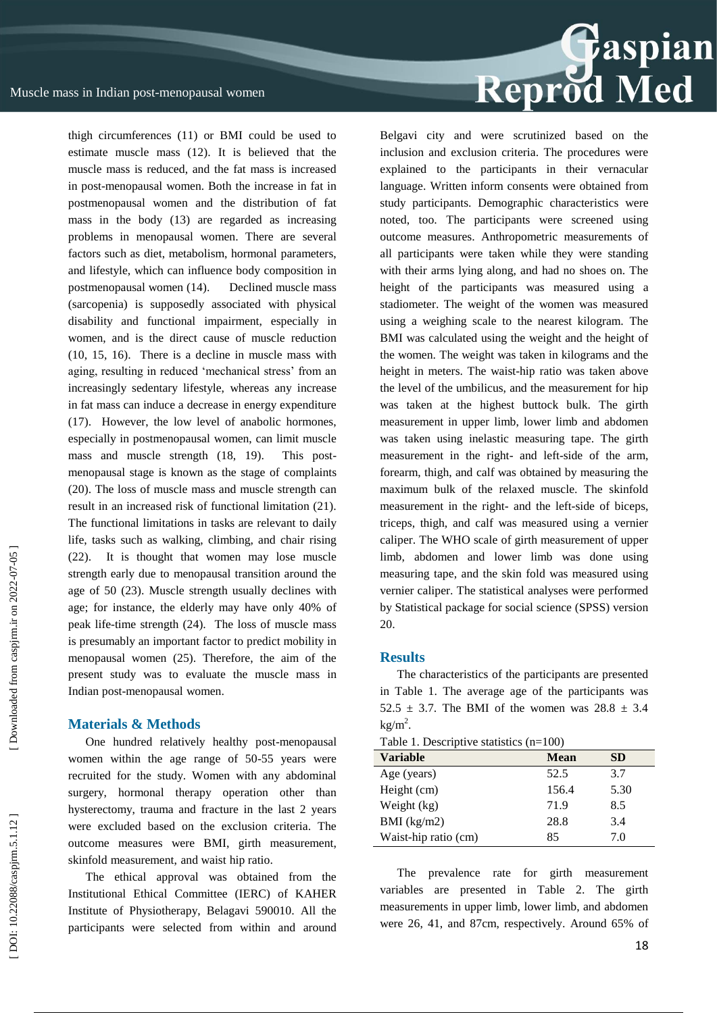

thigh circumferences (11) or BMI could be used to estimate muscle mass (12). It is believed that the muscle mass is reduced, and the fat mass is increased in post -menopausal women. Both the increase in fat in postmenopausal women and the distribution of fat mass in the body (13) are regarded as increasing problems in menopausal women. There are several factors such as diet, metabolism, hormonal parameters, and lifestyle, which can influence body composition in postmenopausal women (14). Declined muscle mass (sarcopenia) is supposedly associated with physical disability and functional impairment, especially in women, and is the direct cause of muscle reduction (10, 15, 16). There is a decline in muscle mass with aging, resulting in reduced 'mechanical stress' from an increasingly sedentary lifestyle, whereas any increase in fat mass can induce a decrease in energy expenditure (17). However, the low level of anabolic hormones, especially in postmenopausal women, can limit muscle mass and muscle strength  $(18, 19)$ . This postmenopausal stage is known as the stage of complaints (20). The loss of muscle mass and muscle strength can result in an increased risk of functional limitation (21). The functional limitations in tasks are relevant to daily life, tasks such as walking, climbing, and chair rising (22). It is thought that women may lose muscle strength early due to menopausal transition around the age of 50 (23). Muscle strength usually declines with age; for instance, the elderly may have only 40% of peak life -time strength (24). The loss of muscle mass is presumably an important factor to predict mobility in menopausal women (25). Therefore, the aim of the present study was to evaluate the muscle mass in Indian post -menopausal women.

#### **Materials & Methods**

One hundred relatively healthy post -menopausal women within the age range of 50 -55 years were recruited for the study. Women with any abdominal surgery, hormonal therapy operation other than hysterectomy, trauma and fracture in the last 2 years were excluded based on the exclusion criteria. The outcome measures were BMI, girth measurement, skinfold measurement, and waist hip ratio.

The ethical approval was obtained from the Institutional Ethical Committee (IERC) of KAHER Institute of Physiotherapy, Belagavi 590010. All the participants were selected from within and around Belgavi city and were scrutinized based on the inclusion and exclusion criteria. The procedures were explained to the participants in their vernacular language. Written inform consents were obtained from study participants. Demographic characteristics were noted, too. The participants were screened using outcome measures. Anthropometric measurements of all participants were taken while they were standing with their arms lying along, and had no shoes on. The height of the participants was measured using a stadiometer. The weight of the women was measured using a weighing scale to the nearest kilogram. The BMI was calculated using the weight and the height of the women. The weight was taken in kilograms and the height in meters. The waist -hip ratio was taken above the level of the umbilicus, and the measurement for hip was taken at the highest buttock bulk. The girth measurement in upper limb, lower limb and abdomen was taken using inelastic measuring tape. The girth measurement in the right- and left-side of the arm, forearm, thigh, and calf was obtained by measuring the maximum bulk of the relaxed muscle. The skinfold measurement in the right- and the left-side of biceps, triceps, thigh, and calf was measured using a vernier caliper. The WHO scale of girth measurement of upper limb, abdomen and lower limb was done using measuring tape, and the skin fold was measured using vernier caliper. The statistical analyses were performed by Statistical package for social science (SPSS) version 20.

#### **Results**

The characteristics of the participants are presented in Table 1. The average age of the participants was 52.5  $\pm$  3.7. The BMI of the women was 28.8  $\pm$  3.4  $kg/m<sup>2</sup>$ .

Table 1. Descriptive statistics (n=100)

| racio 1. Besempa e saunsties (n. 1997 |           |  |  |  |
|---------------------------------------|-----------|--|--|--|
| <b>Mean</b>                           | <b>SD</b> |  |  |  |
| 52.5                                  | 3.7       |  |  |  |
| 156.4                                 | 5.30      |  |  |  |
| 71.9                                  | 8.5       |  |  |  |
| 28.8                                  | 3.4       |  |  |  |
| 85                                    | 7.0       |  |  |  |
|                                       |           |  |  |  |

The prevalence rate for girth measurement variables are presented in Table 2. The girth measurements in upper limb, lower limb, and abdomen were 26, 41, and 87cm, respectively. Around 65% of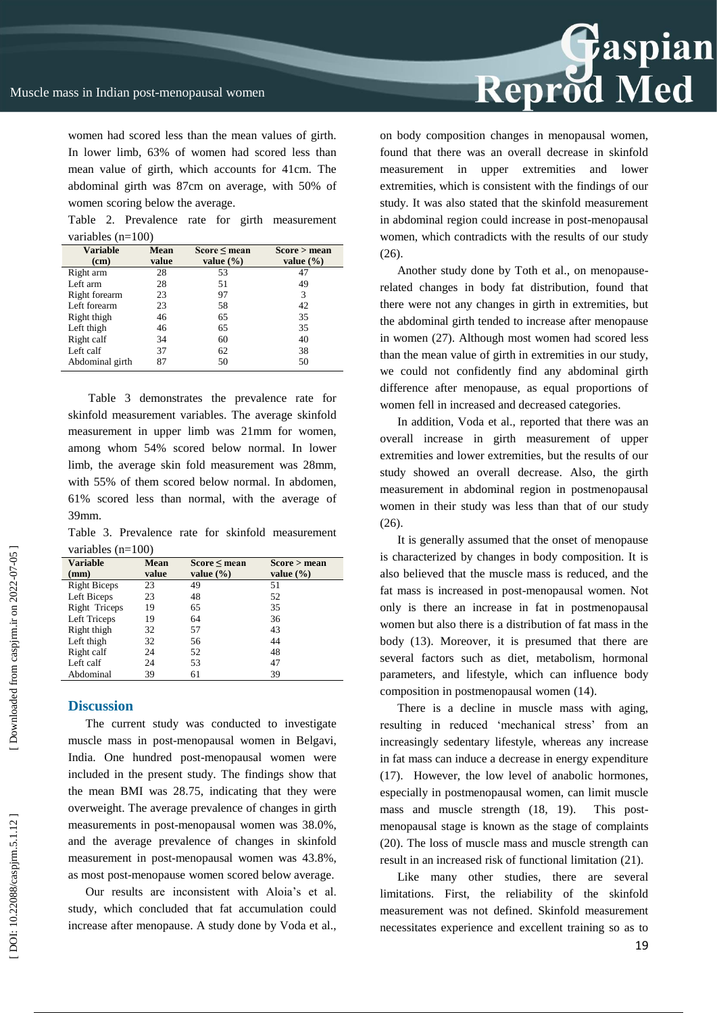women had scored less than the mean values of girth. In lower limb, 63% of women had scored less than mean value of girth, which accounts for 41cm. The abdominal girth was 87cm on average, with 50% of women scoring below the average.

Table 2. Prevalence rate for girth measurement variables (n=100)

| <b>Variable</b> | <b>Mean</b> | Score < mean  | Score > mean  |
|-----------------|-------------|---------------|---------------|
| (cm)            | value       | value $(\% )$ | value $(\% )$ |
| Right arm       | 28          | 53            | 47            |
| Left arm        | 28          | 51            | 49            |
| Right forearm   | 23          | 97            | 3             |
| Left forearm    | 23          | 58            | 42            |
| Right thigh     | 46          | 65            | 35            |
| Left thigh      | 46          | 65            | 35            |
| Right calf      | 34          | 60            | 40            |
| Left calf       | 37          | 62            | 38            |
| Abdominal girth | 87          | 50            | 50            |

Table 3 demonstrates the prevalence rate for skinfold measurement variables. The average skinfold measurement in upper limb was 21mm for women, among whom 54% scored below normal. In lower limb, the average skin fold measurement was 28mm, with 55% of them scored below normal. In abdomen, 61% scored less than normal, with the average of 39mm.

Table 3. Prevalence rate for skinfold measurement variables  $(n=100)$ 

| <b>Variable</b><br>(mm) | Mean<br>value | $Score \leq mean$<br>value $(\% )$ | Score > mean<br>value $(\% )$ |
|-------------------------|---------------|------------------------------------|-------------------------------|
| <b>Right Biceps</b>     | 23            | 49                                 | 51                            |
| Left Biceps             | 23            | 48                                 | 52                            |
| Right Triceps           | 19            | 65                                 | 35                            |
| Left Triceps            | 19            | 64                                 | 36                            |
| Right thigh             | 32            | 57                                 | 43                            |
| Left thigh              | 32            | 56                                 | 44                            |
| Right calf              | 24            | 52                                 | 48                            |
| Left calf               | 24            | 53                                 | 47                            |
| Abdominal               | 39            | 61                                 | 39                            |

#### **Discussion**

The current study was conducted to investigate muscle mass in post -menopausal women in Belgavi, India. One hundred post -menopausal women were included in the present study. The findings show that the mean BMI was 28.75, indicating that they were overweight. The average prevalence of changes in girth measurements in post -menopausal women was 38.0%, and the average prevalence of changes in skinfold measurement in post -menopausal women was 43.8%, as most post -menopause women scored below average.

Our results are inconsistent with Aloia's et al. study, which concluded that fat accumulation could increase after menopause. A study done by Voda et al.,



on body composition changes in menopausal women, found that there was an overall decrease in skinfold measurement in upper extremities and lower extremities, which is consistent with the findings of our study. It was also stated that the skinfold measurement in abdominal region could increase in post -menopausal women, which contradicts with the results of our study (26).

Another study done by Toth et al., on menopause related changes in body fat distribution, found that there were not any changes in girth in extremities, but the abdominal girth tended to increase after menopause in women (27). Although most women had scored less than the mean value of girth in extremities in our study, we could not confidently find any abdominal girth difference after menopause, as equal proportions of women fell in increased and decreased categories.

In addition, Voda et al., reported that there was an overall increase in girth measurement of upper extremities and lower extremities, but the results of our study showed an overall decrease. Also, the girth measurement in abdominal region in postmenopausal women in their study was less than that of our study  $(26)$ .

It is generally assumed that the onset of menopause is characterized by changes in body composition. It is also believed that the muscle mass is reduced, and the fat mass is increased in post -menopausal women. Not only is there an increase in fat in postmenopausal women but also there is a distribution of fat mass in the body (13). Moreover, it is presumed that there are several factors such as diet, metabolism, hormonal parameters, and lifestyle, which can influence body composition in postmenopausal women (14).

There is a decline in muscle mass with aging, resulting in reduced 'mechanical stress' from an increasingly sedentary lifestyle, whereas any increase in fat mass can induce a decrease in energy expenditure (17). However, the low level of anabolic hormones, especially in postmenopausal women, can limit muscle mass and muscle strength (18, 19). This postmenopausal stage is known as the stage of complaints (20). The loss of muscle mass and muscle strength can result in an increased risk of functional limitation (21).

Like many other studies, there are several limitations. First, the reliability of the skinfold measurement was not defined. Skinfold measurement necessitates experience and excellent training so as to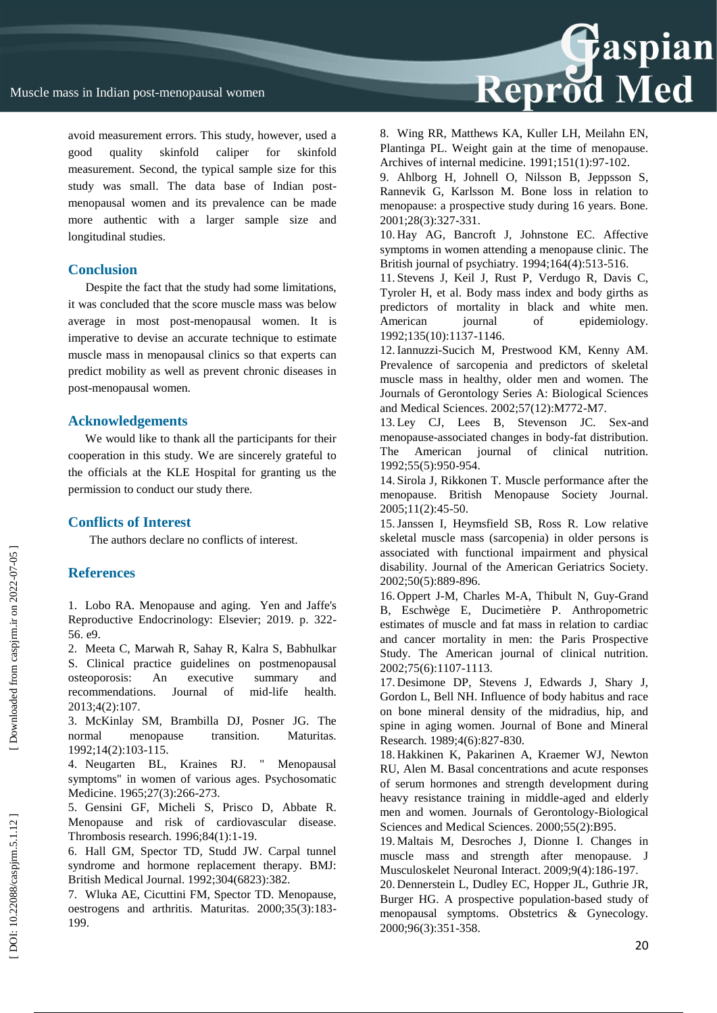avoid measurement errors. This study, however, used a good quality skinfold caliper for skinfold measurement. Second, the typical sample size for this study was small. The data base of Indian post menopausal women and its prevalence can be made more authentic with a larger sample size and longitudinal studies.

## **Conclusion**

Despite the fact that the study had some limitations, it was concluded that the score muscle mass was below average in most post -menopausal women. It is imperative to devise an accurate technique to estimate muscle mass in menopausal clinics so that experts can predict mobility as well as prevent chronic diseases in post -menopausal women.

### **Acknowledgements**

We would like to thank all the participants for their cooperation in this study. We are sincerely grateful to the officials at the KLE Hospital for granting us the permission to conduct our study there.

## **Conflicts of Interest**

The authors declare no conflicts of interest.

## **References**

1. Lobo RA. Menopause and aging. Yen and Jaffe's Reproductive Endocrinology: Elsevier; 2019. p. 322 - 56. e9.

2. Meeta C, Marwah R, Sahay R, Kalra S, Babhulkar S. Clinical practice guidelines on postmenopausal osteoporosis: An executive summary and recommendations. Journal of mid health. 2013;4(2):107.

3. McKinlay SM, Brambilla DJ, Posner JG. The normal menopause transition. Maturitas. 1992;14(2):103 -115.

4. Neugarten BL, Kraines RJ. " Menopausal symptoms" in women of various ages. Psychosomatic Medicine. 1965;27(3):266-273.

5. Gensini GF, Micheli S, Prisco D, Abbate R. Menopause and risk of cardiovascular disease. Thrombosis research. 1996;84(1):1 -19.

6. Hall GM, Spector TD, Studd JW. Carpal tunnel syndrome and hormone replacement therapy. BMJ: British Medical Journal. 1992;304(6823):382.

7. Wluka AE, Cicuttini FM, Spector TD. Menopause, oestrogens and arthritis. Maturitas. 2000;35(3):183 - 199.

8. Wing RR, Matthews KA, Kuller LH, Meilahn EN, Plantinga PL. Weight gain at the time of menopause. Archives of internal medicine. 1991;151(1):97 -102.

9. Ahlborg H, Johnell O, Nilsson B, Jeppsson S, Rannevik G, Karlsson M. Bone loss in relation to menopause: a prospective study during 16 years. Bone. 2001;28(3):327 -331.

10. Hay AG, Bancroft J, Johnstone EC. Affective symptoms in women attending a menopause clinic. The British journal of psychiatry. 1994;164(4):513 -516.

11. Stevens J, Keil J, Rust P, Verdugo R, Davis C, Tyroler H, et al. Body mass index and body girths as predictors of mortality in black and white men. American journal of epidemiology. 1992;135(10):1137 -1146.

12.Iannuzzi -Sucich M, Prestwood KM, Kenny AM. Prevalence of sarcopenia and predictors of skeletal muscle mass in healthy, older men and women. The Journals of Gerontology Series A: Biological Sciences and Medical Sciences. 2002;57(12):M772 -M7.

13. Ley CJ, Lees B, Stevenson JC. Sex -and menopause -associated changes in body -fat distribution. The American journal of clinical nutrition. 1992;55(5):950 -954.

14. Sirola J, Rikkonen T. Muscle performance after the menopause. British Menopause Society Journal. 2005;11(2):45 -50.

15.Janssen I, Heymsfield SB, Ross R. Low relative skeletal muscle mass (sarcopenia) in older persons is associated with functional impairment and physical disability. Journal of the American Geriatrics Society. 2002;50(5):889 -896.

16. Oppert J -M, Charles M -A, Thibult N, Guy -Grand B, Eschwège E, Ducimetière P. Anthropometric estimates of muscle and fat mass in relation to cardiac and cancer mortality in men: the Paris Prospective Study. The American journal of clinical nutrition. 2002;75(6):1107 -1113.

17. Desimone DP, Stevens J, Edwards J, Shary J, Gordon L, Bell NH. Influence of body habitus and race on bone mineral density of the midradius, hip, and spine in aging women. Journal of Bone and Mineral Research. 1989;4(6):827 -830.

18. Hakkinen K, Pakarinen A, Kraemer WJ, Newton RU, Alen M. Basal concentrations and acute responses of serum hormones and strength development during heavy resistance training in middle -aged and elderly men and women. Journals of Gerontology -Biological Sciences and Medical Sciences. 2000;55(2):B95.

19. Maltais M, Desroches J, Dionne I. Changes in muscle mass and strength after menopause. J Musculoskelet Neuronal Interact. 2009;9(4):186 -197.

20. Dennerstein L, Dudley EC, Hopper JL, Guthrie JR, Burger HG. A prospective population -based study of menopausal symptoms. Obstetrics & Gynecology. 2000;96(3):351 -358.